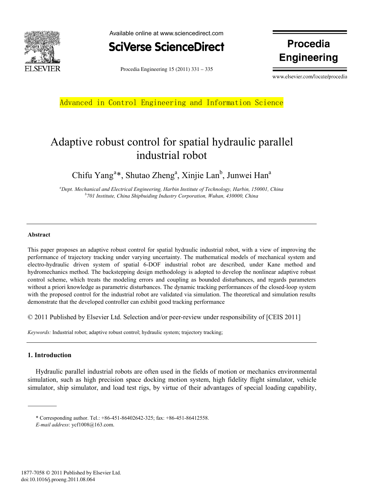



Procedia Engineering  $15(2011)$   $331-335$ 

**Engineering**

www.elsevier.com/locate/procedia

Advanced in Control Engineering and Information Science

# Adaptive robust control for spatial hydraulic parallel industrial robot

Chifu Yang<sup>a\*</sup>, Shutao Zheng<sup>a</sup>, Xinjie Lan<sup>b</sup>, Junwei Han<sup>a</sup>

*a Dept. Mechanical and Electrical Engineering, Harbin Institute of Technology, Harbin, 150001, China b 701 Institute, China Shipbuiding Industry Corporation, Wuhan, 430000, China* 

### **Abstract**

This paper proposes an adaptive robust control for spatial hydraulic industrial robot, with a view of improving the performance of trajectory tracking under varying uncertainty. The mathematical models of mechanical system and electro-hydraulic driven system of spatial 6-DOF industrial robot are described, under Kane method and hydromechanics method. The backstepping design methodology is adopted to develop the nonlinear adaptive robust control scheme, which treats the modeling errors and coupling as bounded disturbances, and regards parameters without a priori knowledge as parametric disturbances. The dynamic tracking performances of the closed-loop system with the proposed control for the industrial robot are validated via simulation. The theoretical and simulation results demonstrate that the developed controller can exhibit good tracking performance

© 2011 Published by Elsevier Ltd. Selection and/or peer-review under responsibility of [CEIS 2011]

*Keywords:* Industrial robot; adaptive robust control; hydraulic system; trajectory tracking;

## **1. Introduction**

Hydraulic parallel industrial robots are often used in the fields of motion or mechanics environmental simulation, such as high precision space docking motion system, high fidelity flight simulator, vehicle simulator, ship simulator, and load test rigs, by virtue of their advantages of special loading capability,

\* Corresponding author. Tel.: +86-451-86402642-325; fax: +86-451-86412558.

*E-mail address*: ycf1008@163.com.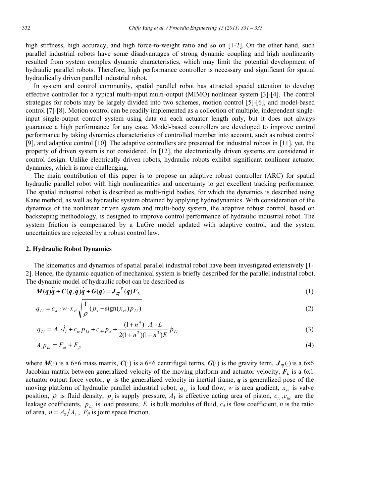high stiffness, high accuracy, and high force-to-weight ratio and so on [1-2]. On the other hand, such parallel industrial robots have some disadvantages of strong dynamic coupling and high nonlinearity resulted from system complex dynamic characteristics, which may limit the potential development of hydraulic parallel robots. Therefore, high performance controller is necessary and significant for spatial hydraulically driven parallel industrial robot.

In system and control community, spatial parallel robot has attracted special attention to develop effective controller for a typical multi-input multi-output (MIMO) nonlinear system [3]-[4]. The control strategies for robots may be largely divided into two schemes, motion control [5]-[6], and model-based control [7]-[8]. Motion control can be readily implemented as a collection of multiple, independent singleinput single-output control system using data on each actuator length only, but it does not always guarantee a high performance for any case. Model-based controllers are developed to improve control performance by taking dynamics characteristics of controlled member into account, such as robust control [9], and adaptive control [10]. The adaptive controllers are presented for industrial robots in [11], yet, the property of driven system is not considered. In [12], the electronically driven systems are considered in control design. Unlike electrically driven robots, hydraulic robots exhibit significant nonlinear actuator dynamics, which is more challenging.

The main contribution of this paper is to propose an adaptive robust controller (ARC) for spatial hydraulic parallel robot with high nonlinearities and uncertainty to get excellent tracking performance. The spatial industrial robot is described as multi-rigid bodies, for which the dynamics is described using Kane method, as well as hydraulic system obtained by applying hydrodynamics. With consideration of the dynamics of the nonlinear driven system and multi-body system, the adaptive robust control, based on backsteping methodology, is designed to improve control performance of hydraulic industrial robot. The system friction is compensated by a LuGre model updated with adaptive control, and the system uncertainties are rejected by a robust control law.

#### **2. Hydraulic Robot Dynamics**

The kinematics and dynamics of spatial parallel industrial robot have been investigated extensively [1- 2]. Hence, the dynamic equation of mechanical system is briefly described for the parallel industrial robot. The dynamic model of hydraulic robot can be described as

$$
M(q)\ddot{\overline{q}} + C(q,\dot{\overline{q}})\dot{\overline{q}} + G(q) = J_{l\overline{q}}^{T}(q)F_{L}
$$
\n(1)

$$
q_{Li} = c_d \cdot w \cdot x_{vi} \sqrt{\frac{1}{\rho} (p_s - \text{sign}(x_{vi}) p_{Li})}
$$
 (2)

$$
q_{Li} = A_1 \cdot \dot{l}_i + c_{tc} p_{Li} + c_{tic} p_s + \frac{(1 + n^4) \cdot A_1 \cdot L}{2(1 + n^2)(1 + n^3)E} \dot{p}_{Li}
$$
\n(3)

$$
A_1 P_{Li} = F_{ai} + F_{fi} \tag{4}
$$

where  $M(\cdot)$  is a 6×6 mass matrix,  $C(\cdot)$  is a 6×6 centrifugal terms,  $G(\cdot)$  is the gravity term,  $J_{\bar{\mu}}(\cdot)$  is a 6x6 Jacobian matrix between generalized velocity of the moving platform and actuator velocity, *FL* is a 6x1 actuator output force vector,  $\dot{\vec{q}}$  is the generalized velocity in inertial frame, *q* is generalized pose of the moving platform of hydraulic parallel industrial robot,  $q_{Li}$  is load flow, w is area gradient,  $x_{vi}$  is valve moving platform of hydraulic parallel industrial robot,  $q_{Li}$  is load flow, *w* is area gradient,  $x_{vi}$  is valve position,  $\rho$  is fluid density,  $p_s$  is supply pressure,  $A_1$  is effective acting area of piston,  $c_{ic}$ leakage coefficients,  $p_{Li}$  is load pressure, E is bulk modulus of fluid,  $c_d$  is flow coefficient, *n* is the ratio of area,  $n = A_2/A_1$ ,  $F_f$  is joint space friction.